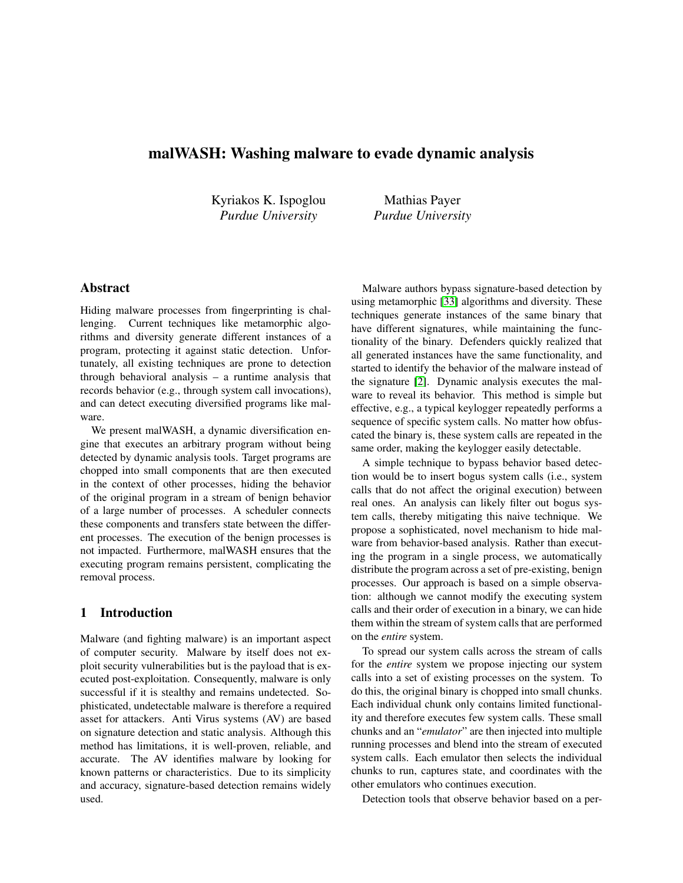# malWASH: Washing malware to evade dynamic analysis

Kyriakos K. Ispoglou *Purdue University*

Mathias Payer *Purdue University*

# Abstract

Hiding malware processes from fingerprinting is challenging. Current techniques like metamorphic algorithms and diversity generate different instances of a program, protecting it against static detection. Unfortunately, all existing techniques are prone to detection through behavioral analysis – a runtime analysis that records behavior (e.g., through system call invocations), and can detect executing diversified programs like malware.

We present malWASH, a dynamic diversification engine that executes an arbitrary program without being detected by dynamic analysis tools. Target programs are chopped into small components that are then executed in the context of other processes, hiding the behavior of the original program in a stream of benign behavior of a large number of processes. A scheduler connects these components and transfers state between the different processes. The execution of the benign processes is not impacted. Furthermore, malWASH ensures that the executing program remains persistent, complicating the removal process.

# 1 Introduction

Malware (and fighting malware) is an important aspect of computer security. Malware by itself does not exploit security vulnerabilities but is the payload that is executed post-exploitation. Consequently, malware is only successful if it is stealthy and remains undetected. Sophisticated, undetectable malware is therefore a required asset for attackers. Anti Virus systems (AV) are based on signature detection and static analysis. Although this method has limitations, it is well-proven, reliable, and accurate. The AV identifies malware by looking for known patterns or characteristics. Due to its simplicity and accuracy, signature-based detection remains widely used.

Malware authors bypass signature-based detection by using metamorphic [\[33\]](#page-11-0) algorithms and diversity. These techniques generate instances of the same binary that have different signatures, while maintaining the functionality of the binary. Defenders quickly realized that all generated instances have the same functionality, and started to identify the behavior of the malware instead of the signature [\[2\]](#page-10-0). Dynamic analysis executes the malware to reveal its behavior. This method is simple but effective, e.g., a typical keylogger repeatedly performs a sequence of specific system calls. No matter how obfuscated the binary is, these system calls are repeated in the same order, making the keylogger easily detectable.

A simple technique to bypass behavior based detection would be to insert bogus system calls (i.e., system calls that do not affect the original execution) between real ones. An analysis can likely filter out bogus system calls, thereby mitigating this naive technique. We propose a sophisticated, novel mechanism to hide malware from behavior-based analysis. Rather than executing the program in a single process, we automatically distribute the program across a set of pre-existing, benign processes. Our approach is based on a simple observation: although we cannot modify the executing system calls and their order of execution in a binary, we can hide them within the stream of system calls that are performed on the *entire* system.

To spread our system calls across the stream of calls for the *entire* system we propose injecting our system calls into a set of existing processes on the system. To do this, the original binary is chopped into small chunks. Each individual chunk only contains limited functionality and therefore executes few system calls. These small chunks and an "*emulator*" are then injected into multiple running processes and blend into the stream of executed system calls. Each emulator then selects the individual chunks to run, captures state, and coordinates with the other emulators who continues execution.

Detection tools that observe behavior based on a per-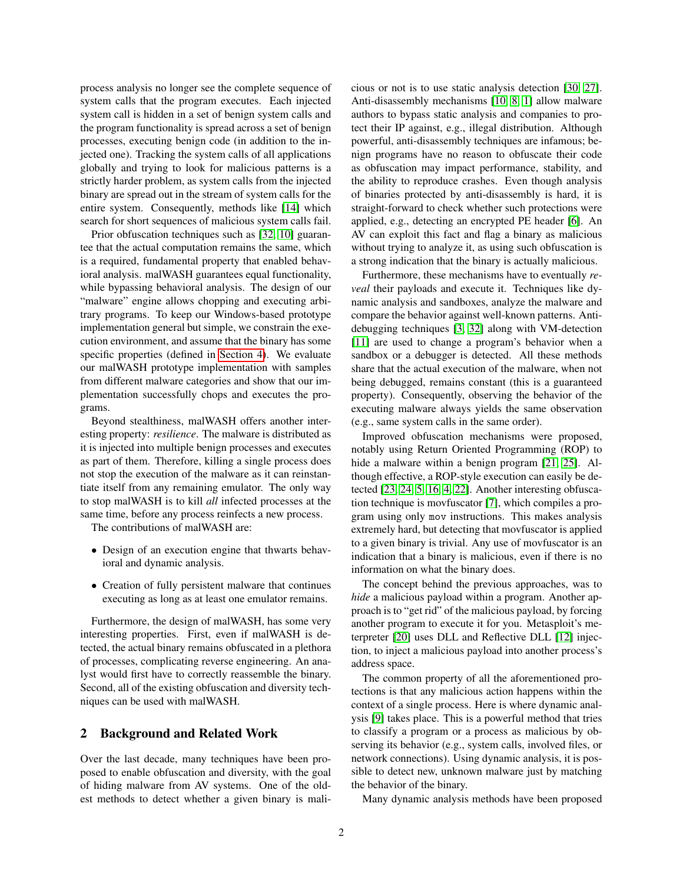process analysis no longer see the complete sequence of system calls that the program executes. Each injected system call is hidden in a set of benign system calls and the program functionality is spread across a set of benign processes, executing benign code (in addition to the injected one). Tracking the system calls of all applications globally and trying to look for malicious patterns is a strictly harder problem, as system calls from the injected binary are spread out in the stream of system calls for the entire system. Consequently, methods like [\[14\]](#page-11-1) which search for short sequences of malicious system calls fail.

Prior obfuscation techniques such as [\[32,](#page-11-2) [10\]](#page-10-1) guarantee that the actual computation remains the same, which is a required, fundamental property that enabled behavioral analysis. malWASH guarantees equal functionality, while bypassing behavioral analysis. The design of our "malware" engine allows chopping and executing arbitrary programs. To keep our Windows-based prototype implementation general but simple, we constrain the execution environment, and assume that the binary has some specific properties (defined in [Section 4\)](#page-3-0). We evaluate our malWASH prototype implementation with samples from different malware categories and show that our implementation successfully chops and executes the programs.

Beyond stealthiness, malWASH offers another interesting property: *resilience*. The malware is distributed as it is injected into multiple benign processes and executes as part of them. Therefore, killing a single process does not stop the execution of the malware as it can reinstantiate itself from any remaining emulator. The only way to stop malWASH is to kill *all* infected processes at the same time, before any process reinfects a new process.

The contributions of malWASH are:

- Design of an execution engine that thwarts behavioral and dynamic analysis.
- Creation of fully persistent malware that continues executing as long as at least one emulator remains.

Furthermore, the design of malWASH, has some very interesting properties. First, even if malWASH is detected, the actual binary remains obfuscated in a plethora of processes, complicating reverse engineering. An analyst would first have to correctly reassemble the binary. Second, all of the existing obfuscation and diversity techniques can be used with malWASH.

## 2 Background and Related Work

Over the last decade, many techniques have been proposed to enable obfuscation and diversity, with the goal of hiding malware from AV systems. One of the oldest methods to detect whether a given binary is malicious or not is to use static analysis detection [\[30,](#page-11-3) [27\]](#page-11-4). Anti-disassembly mechanisms [\[10,](#page-10-1) [8,](#page-10-2) [1\]](#page-10-3) allow malware authors to bypass static analysis and companies to protect their IP against, e.g., illegal distribution. Although powerful, anti-disassembly techniques are infamous; benign programs have no reason to obfuscate their code as obfuscation may impact performance, stability, and the ability to reproduce crashes. Even though analysis of binaries protected by anti-disassembly is hard, it is straight-forward to check whether such protections were applied, e.g., detecting an encrypted PE header [\[6\]](#page-10-4). An AV can exploit this fact and flag a binary as malicious without trying to analyze it, as using such obfuscation is a strong indication that the binary is actually malicious.

Furthermore, these mechanisms have to eventually *reveal* their payloads and execute it. Techniques like dynamic analysis and sandboxes, analyze the malware and compare the behavior against well-known patterns. Antidebugging techniques [\[3,](#page-10-5) [32\]](#page-11-2) along with VM-detection [\[11\]](#page-10-6) are used to change a program's behavior when a sandbox or a debugger is detected. All these methods share that the actual execution of the malware, when not being debugged, remains constant (this is a guaranteed property). Consequently, observing the behavior of the executing malware always yields the same observation (e.g., same system calls in the same order).

Improved obfuscation mechanisms were proposed, notably using Return Oriented Programming (ROP) to hide a malware within a benign program [\[21,](#page-11-5) [25\]](#page-11-6). Although effective, a ROP-style execution can easily be detected [\[23,](#page-11-7) [24,](#page-11-8) [5,](#page-10-7) [16,](#page-11-9) [4,](#page-10-8) [22\]](#page-11-10). Another interesting obfuscation technique is movfuscator [\[7\]](#page-10-9), which compiles a program using only mov instructions. This makes analysis extremely hard, but detecting that movfuscator is applied to a given binary is trivial. Any use of movfuscator is an indication that a binary is malicious, even if there is no information on what the binary does.

The concept behind the previous approaches, was to *hide* a malicious payload within a program. Another approach is to "get rid" of the malicious payload, by forcing another program to execute it for you. Metasploit's meterpreter [\[20\]](#page-11-11) uses DLL and Reflective DLL [\[12\]](#page-10-10) injection, to inject a malicious payload into another process's address space.

The common property of all the aforementioned protections is that any malicious action happens within the context of a single process. Here is where dynamic analysis [\[9\]](#page-10-11) takes place. This is a powerful method that tries to classify a program or a process as malicious by observing its behavior (e.g., system calls, involved files, or network connections). Using dynamic analysis, it is possible to detect new, unknown malware just by matching the behavior of the binary.

Many dynamic analysis methods have been proposed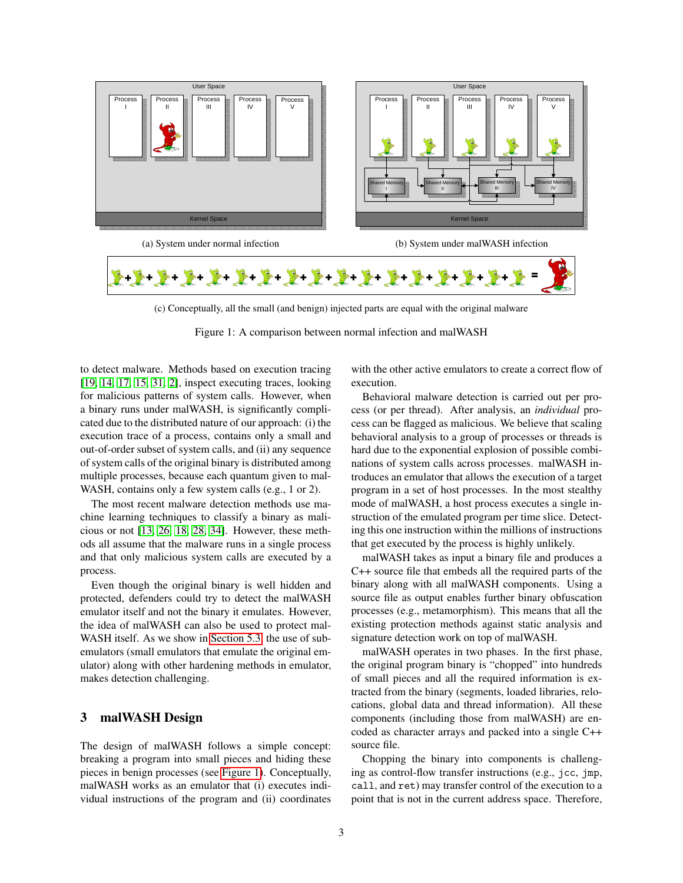<span id="page-2-0"></span>

(c) Conceptually, all the small (and benign) injected parts are equal with the original malware

Figure 1: A comparison between normal infection and malWASH

to detect malware. Methods based on execution tracing [\[19,](#page-11-12) [14,](#page-11-1) [17,](#page-11-13) [15,](#page-11-14) [31,](#page-11-15) [2\]](#page-10-0), inspect executing traces, looking for malicious patterns of system calls. However, when a binary runs under malWASH, is significantly complicated due to the distributed nature of our approach: (i) the execution trace of a process, contains only a small and out-of-order subset of system calls, and (ii) any sequence of system calls of the original binary is distributed among multiple processes, because each quantum given to mal-WASH, contains only a few system calls (e.g., 1 or 2).

The most recent malware detection methods use machine learning techniques to classify a binary as malicious or not [\[13,](#page-11-16) [26,](#page-11-17) [18,](#page-11-18) [28,](#page-11-19) [34\]](#page-11-20). However, these methods all assume that the malware runs in a single process and that only malicious system calls are executed by a process.

Even though the original binary is well hidden and protected, defenders could try to detect the malWASH emulator itself and not the binary it emulates. However, the idea of malWASH can also be used to protect mal-WASH itself. As we show in [Section 5.3,](#page-8-0) the use of subemulators (small emulators that emulate the original emulator) along with other hardening methods in emulator, makes detection challenging.

## <span id="page-2-1"></span>3 malWASH Design

The design of malWASH follows a simple concept: breaking a program into small pieces and hiding these pieces in benign processes (see [Figure 1\)](#page-2-0). Conceptually, malWASH works as an emulator that (i) executes individual instructions of the program and (ii) coordinates with the other active emulators to create a correct flow of execution.

Behavioral malware detection is carried out per process (or per thread). After analysis, an *individual* process can be flagged as malicious. We believe that scaling behavioral analysis to a group of processes or threads is hard due to the exponential explosion of possible combinations of system calls across processes. malWASH introduces an emulator that allows the execution of a target program in a set of host processes. In the most stealthy mode of malWASH, a host process executes a single instruction of the emulated program per time slice. Detecting this one instruction within the millions of instructions that get executed by the process is highly unlikely.

malWASH takes as input a binary file and produces a C++ source file that embeds all the required parts of the binary along with all malWASH components. Using a source file as output enables further binary obfuscation processes (e.g., metamorphism). This means that all the existing protection methods against static analysis and signature detection work on top of malWASH.

malWASH operates in two phases. In the first phase, the original program binary is "chopped" into hundreds of small pieces and all the required information is extracted from the binary (segments, loaded libraries, relocations, global data and thread information). All these components (including those from malWASH) are encoded as character arrays and packed into a single C++ source file.

Chopping the binary into components is challenging as control-flow transfer instructions (e.g., jcc, jmp, call, and ret) may transfer control of the execution to a point that is not in the current address space. Therefore,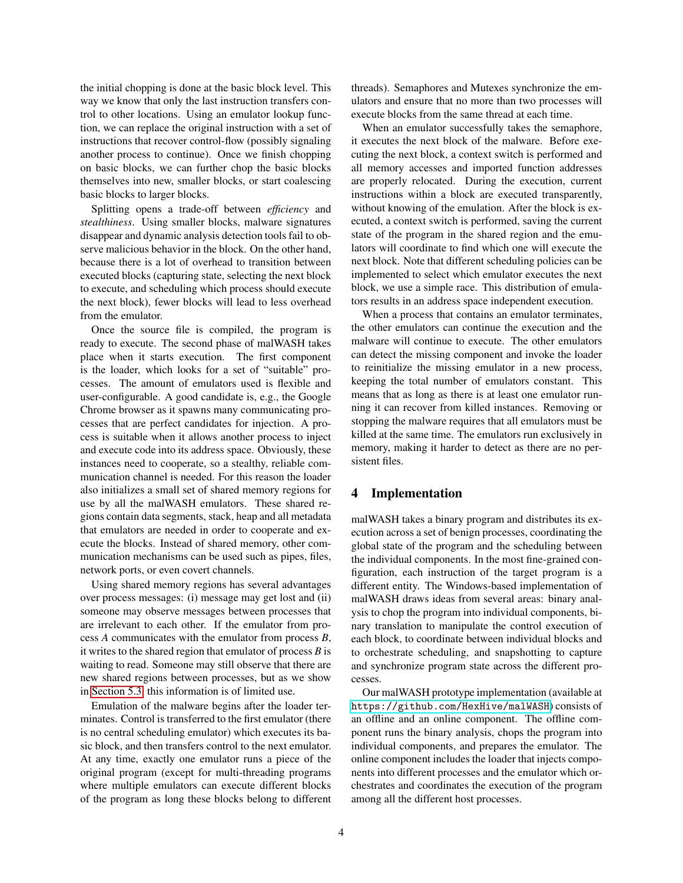the initial chopping is done at the basic block level. This way we know that only the last instruction transfers control to other locations. Using an emulator lookup function, we can replace the original instruction with a set of instructions that recover control-flow (possibly signaling another process to continue). Once we finish chopping on basic blocks, we can further chop the basic blocks themselves into new, smaller blocks, or start coalescing basic blocks to larger blocks.

Splitting opens a trade-off between *efficiency* and *stealthiness*. Using smaller blocks, malware signatures disappear and dynamic analysis detection tools fail to observe malicious behavior in the block. On the other hand, because there is a lot of overhead to transition between executed blocks (capturing state, selecting the next block to execute, and scheduling which process should execute the next block), fewer blocks will lead to less overhead from the emulator.

Once the source file is compiled, the program is ready to execute. The second phase of malWASH takes place when it starts execution. The first component is the loader, which looks for a set of "suitable" processes. The amount of emulators used is flexible and user-configurable. A good candidate is, e.g., the Google Chrome browser as it spawns many communicating processes that are perfect candidates for injection. A process is suitable when it allows another process to inject and execute code into its address space. Obviously, these instances need to cooperate, so a stealthy, reliable communication channel is needed. For this reason the loader also initializes a small set of shared memory regions for use by all the malWASH emulators. These shared regions contain data segments, stack, heap and all metadata that emulators are needed in order to cooperate and execute the blocks. Instead of shared memory, other communication mechanisms can be used such as pipes, files, network ports, or even covert channels.

Using shared memory regions has several advantages over process messages: (i) message may get lost and (ii) someone may observe messages between processes that are irrelevant to each other. If the emulator from process *A* communicates with the emulator from process *B*, it writes to the shared region that emulator of process *B* is waiting to read. Someone may still observe that there are new shared regions between processes, but as we show in [Section 5.3,](#page-8-0) this information is of limited use.

Emulation of the malware begins after the loader terminates. Control is transferred to the first emulator (there is no central scheduling emulator) which executes its basic block, and then transfers control to the next emulator. At any time, exactly one emulator runs a piece of the original program (except for multi-threading programs where multiple emulators can execute different blocks of the program as long these blocks belong to different threads). Semaphores and Mutexes synchronize the emulators and ensure that no more than two processes will execute blocks from the same thread at each time.

When an emulator successfully takes the semaphore, it executes the next block of the malware. Before executing the next block, a context switch is performed and all memory accesses and imported function addresses are properly relocated. During the execution, current instructions within a block are executed transparently, without knowing of the emulation. After the block is executed, a context switch is performed, saving the current state of the program in the shared region and the emulators will coordinate to find which one will execute the next block. Note that different scheduling policies can be implemented to select which emulator executes the next block, we use a simple race. This distribution of emulators results in an address space independent execution.

When a process that contains an emulator terminates, the other emulators can continue the execution and the malware will continue to execute. The other emulators can detect the missing component and invoke the loader to reinitialize the missing emulator in a new process, keeping the total number of emulators constant. This means that as long as there is at least one emulator running it can recover from killed instances. Removing or stopping the malware requires that all emulators must be killed at the same time. The emulators run exclusively in memory, making it harder to detect as there are no persistent files.

### <span id="page-3-0"></span>4 Implementation

malWASH takes a binary program and distributes its execution across a set of benign processes, coordinating the global state of the program and the scheduling between the individual components. In the most fine-grained configuration, each instruction of the target program is a different entity. The Windows-based implementation of malWASH draws ideas from several areas: binary analysis to chop the program into individual components, binary translation to manipulate the control execution of each block, to coordinate between individual blocks and to orchestrate scheduling, and snapshotting to capture and synchronize program state across the different processes.

Our malWASH prototype implementation (available at <https://github.com/HexHive/malWASH>) consists of an offline and an online component. The offline component runs the binary analysis, chops the program into individual components, and prepares the emulator. The online component includes the loader that injects components into different processes and the emulator which orchestrates and coordinates the execution of the program among all the different host processes.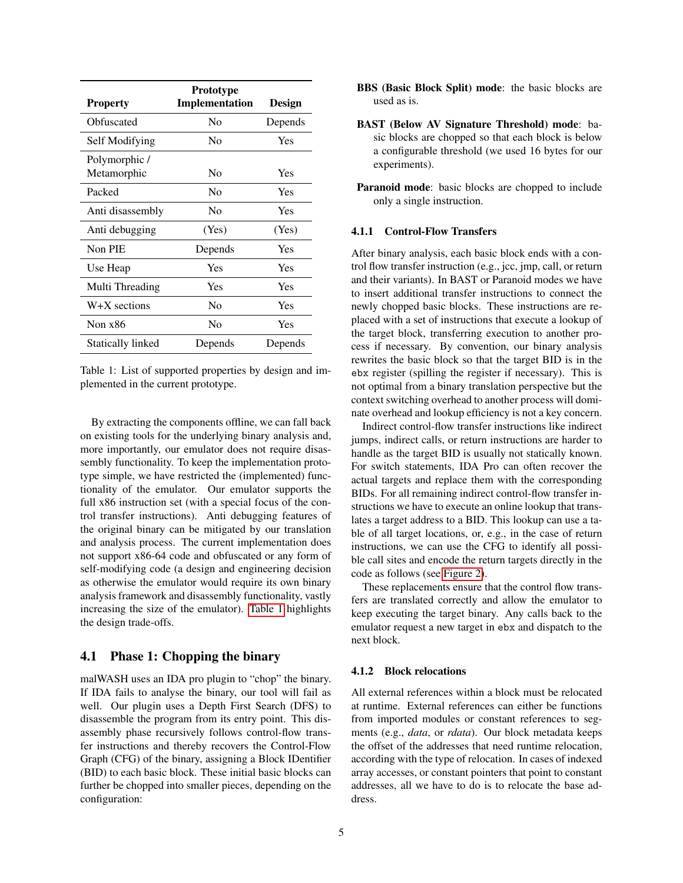<span id="page-4-0"></span>

| <b>Property</b>              | Prototype<br>Implementation | Design  |  |  |
|------------------------------|-----------------------------|---------|--|--|
| Obfuscated                   | Nο                          | Depends |  |  |
| Self Modifying               | N <sub>0</sub>              | Yes     |  |  |
| Polymorphic /<br>Metamorphic | Nο                          | Yes     |  |  |
| Packed                       | N <sub>0</sub>              | Yes     |  |  |
| Anti disassembly             | Nο                          | Yes     |  |  |
| Anti debugging               | (Yes)                       | (Yes)   |  |  |
| Non PIE                      | Depends                     | Yes     |  |  |
| Use Heap                     | Yes                         | Yes     |  |  |
| Multi Threading              | Yes                         | Yes     |  |  |
| $W+X$ sections               | N <sub>0</sub>              | Yes     |  |  |
| Non $x86$                    | No                          | Yes     |  |  |
| Statically linked            | Depends                     | Depends |  |  |

Table 1: List of supported properties by design and implemented in the current prototype.

By extracting the components offline, we can fall back on existing tools for the underlying binary analysis and, more importantly, our emulator does not require disassembly functionality. To keep the implementation prototype simple, we have restricted the (implemented) functionality of the emulator. Our emulator supports the full x86 instruction set (with a special focus of the control transfer instructions). Anti debugging features of the original binary can be mitigated by our translation and analysis process. The current implementation does not support x86-64 code and obfuscated or any form of self-modifying code (a design and engineering decision as otherwise the emulator would require its own binary analysis framework and disassembly functionality, vastly increasing the size of the emulator). [Table 1](#page-4-0) highlights the design trade-offs.

## 4.1 Phase 1: Chopping the binary

malWASH uses an IDA pro plugin to "chop" the binary. If IDA fails to analyse the binary, our tool will fail as well. Our plugin uses a Depth First Search (DFS) to disassemble the program from its entry point. This disassembly phase recursively follows control-flow transfer instructions and thereby recovers the Control-Flow Graph (CFG) of the binary, assigning a Block IDentifier (BID) to each basic block. These initial basic blocks can further be chopped into smaller pieces, depending on the configuration:

- BBS (Basic Block Split) mode: the basic blocks are used as is.
- BAST (Below AV Signature Threshold) mode: basic blocks are chopped so that each block is below a configurable threshold (we used 16 bytes for our experiments).
- Paranoid mode: basic blocks are chopped to include only a single instruction.

### 4.1.1 Control-Flow Transfers

After binary analysis, each basic block ends with a control flow transfer instruction (e.g., jcc, jmp, call, or return and their variants). In BAST or Paranoid modes we have to insert additional transfer instructions to connect the newly chopped basic blocks. These instructions are replaced with a set of instructions that execute a lookup of the target block, transferring execution to another process if necessary. By convention, our binary analysis rewrites the basic block so that the target BID is in the ebx register (spilling the register if necessary). This is not optimal from a binary translation perspective but the context switching overhead to another process will dominate overhead and lookup efficiency is not a key concern.

Indirect control-flow transfer instructions like indirect jumps, indirect calls, or return instructions are harder to handle as the target BID is usually not statically known. For switch statements, IDA Pro can often recover the actual targets and replace them with the corresponding BIDs. For all remaining indirect control-flow transfer instructions we have to execute an online lookup that translates a target address to a BID. This lookup can use a table of all target locations, or, e.g., in the case of return instructions, we can use the CFG to identify all possible call sites and encode the return targets directly in the code as follows (see [Figure 2\)](#page-5-0).

These replacements ensure that the control flow transfers are translated correctly and allow the emulator to keep executing the target binary. Any calls back to the emulator request a new target in ebx and dispatch to the next block.

#### 4.1.2 Block relocations

All external references within a block must be relocated at runtime. External references can either be functions from imported modules or constant references to segments (e.g., *data*, or *rdata*). Our block metadata keeps the offset of the addresses that need runtime relocation, according with the type of relocation. In cases of indexed array accesses, or constant pointers that point to constant addresses, all we have to do is to relocate the base address.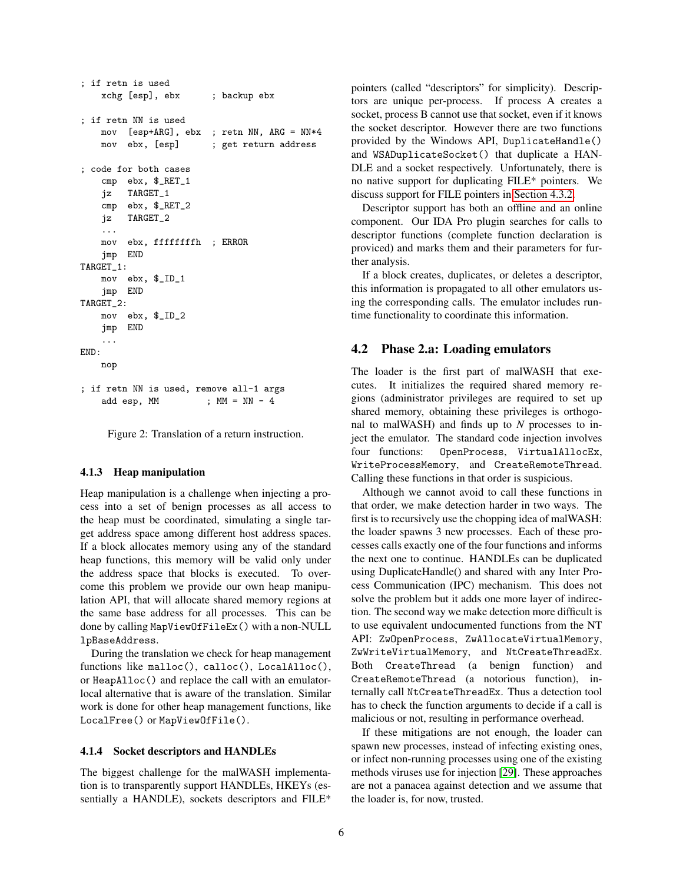```
; if retn is used
   xchg [esp], ebx ; backup ebx
; if retn NN is used
   mov [esp+ARG], ebx ; retn NN, ARG = NN*4
   mov ebx, [esp] ; get return address
; code for both cases
   cmp ebx, $_RET_1
   jz TARGET_1
   cmp ebx, $_RET_2
   jz TARGET_2
    ...
   mov ebx, ffffffffh ; ERROR
   jmp END
TARGET_1:
   mov ebx, $_ID_1
   jmp END
TARGET_2:
   mov ebx, $_ID_2
   jmp END
    ...
END:
   nop
; if retn NN is used, remove all-1 args
   add esp, MM ; MM = NN - 4
```
Figure 2: Translation of a return instruction.

#### 4.1.3 Heap manipulation

Heap manipulation is a challenge when injecting a process into a set of benign processes as all access to the heap must be coordinated, simulating a single target address space among different host address spaces. If a block allocates memory using any of the standard heap functions, this memory will be valid only under the address space that blocks is executed. To overcome this problem we provide our own heap manipulation API, that will allocate shared memory regions at the same base address for all processes. This can be done by calling MapViewOfFileEx() with a non-NULL lpBaseAddress.

During the translation we check for heap management functions like malloc(), calloc(), LocalAlloc(), or HeapAlloc() and replace the call with an emulatorlocal alternative that is aware of the translation. Similar work is done for other heap management functions, like LocalFree() or MapViewOfFile().

### <span id="page-5-1"></span>4.1.4 Socket descriptors and HANDLEs

The biggest challenge for the malWASH implementation is to transparently support HANDLEs, HKEYs (essentially a HANDLE), sockets descriptors and FILE\* pointers (called "descriptors" for simplicity). Descriptors are unique per-process. If process A creates a socket, process B cannot use that socket, even if it knows the socket descriptor. However there are two functions provided by the Windows API, DuplicateHandle() and WSADuplicateSocket() that duplicate a HAN-DLE and a socket respectively. Unfortunately, there is no native support for duplicating FILE\* pointers. We discuss support for FILE pointers in [Section 4.3.2.](#page-6-0)

Descriptor support has both an offline and an online component. Our IDA Pro plugin searches for calls to descriptor functions (complete function declaration is proviced) and marks them and their parameters for further analysis.

If a block creates, duplicates, or deletes a descriptor, this information is propagated to all other emulators using the corresponding calls. The emulator includes runtime functionality to coordinate this information.

### <span id="page-5-2"></span>4.2 Phase 2.a: Loading emulators

The loader is the first part of malWASH that executes. It initializes the required shared memory regions (administrator privileges are required to set up shared memory, obtaining these privileges is orthogonal to malWASH) and finds up to *N* processes to inject the emulator. The standard code injection involves four functions: OpenProcess, VirtualAllocEx, WriteProcessMemory, and CreateRemoteThread. Calling these functions in that order is suspicious.

Although we cannot avoid to call these functions in that order, we make detection harder in two ways. The first is to recursively use the chopping idea of malWASH: the loader spawns 3 new processes. Each of these processes calls exactly one of the four functions and informs the next one to continue. HANDLEs can be duplicated using DuplicateHandle() and shared with any Inter Process Communication (IPC) mechanism. This does not solve the problem but it adds one more layer of indirection. The second way we make detection more difficult is to use equivalent undocumented functions from the NT API: ZwOpenProcess, ZwAllocateVirtualMemory, ZwWriteVirtualMemory, and NtCreateThreadEx. Both CreateThread (a benign function) and CreateRemoteThread (a notorious function), internally call NtCreateThreadEx. Thus a detection tool has to check the function arguments to decide if a call is malicious or not, resulting in performance overhead.

If these mitigations are not enough, the loader can spawn new processes, instead of infecting existing ones, or infect non-running processes using one of the existing methods viruses use for injection [\[29\]](#page-11-21). These approaches are not a panacea against detection and we assume that the loader is, for now, trusted.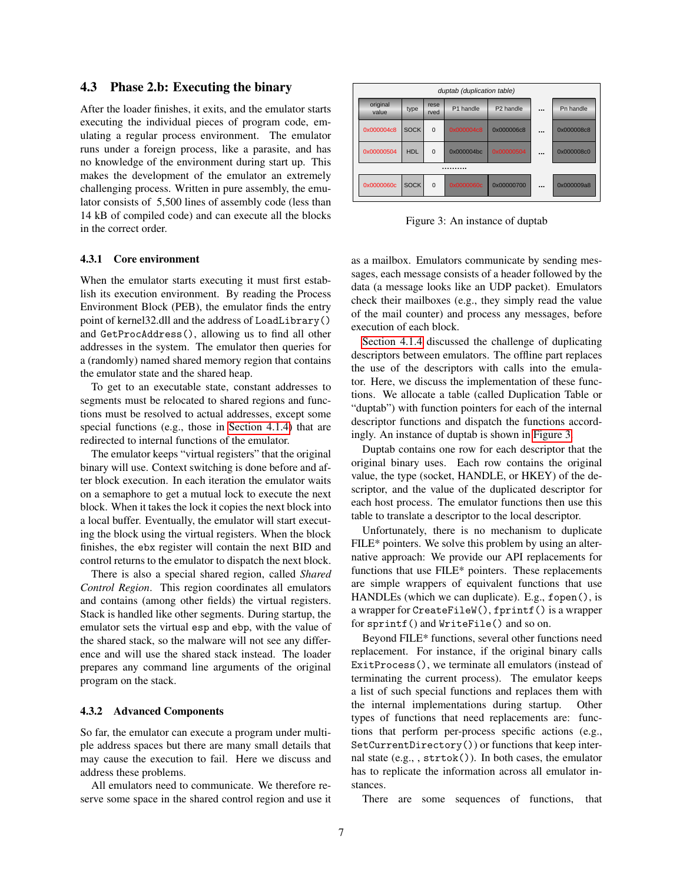### 4.3 Phase 2.b: Executing the binary

After the loader finishes, it exits, and the emulator starts executing the individual pieces of program code, emulating a regular process environment. The emulator runs under a foreign process, like a parasite, and has no knowledge of the environment during start up. This makes the development of the emulator an extremely challenging process. Written in pure assembly, the emulator consists of 5,500 lines of assembly code (less than 14 kB of compiled code) and can execute all the blocks in the correct order.

#### <span id="page-6-2"></span>4.3.1 Core environment

When the emulator starts executing it must first establish its execution environment. By reading the Process Environment Block (PEB), the emulator finds the entry point of kernel32.dll and the address of LoadLibrary() and GetProcAddress(), allowing us to find all other addresses in the system. The emulator then queries for a (randomly) named shared memory region that contains the emulator state and the shared heap.

To get to an executable state, constant addresses to segments must be relocated to shared regions and functions must be resolved to actual addresses, except some special functions (e.g., those in [Section 4.1.4\)](#page-5-1) that are redirected to internal functions of the emulator.

The emulator keeps "virtual registers" that the original binary will use. Context switching is done before and after block execution. In each iteration the emulator waits on a semaphore to get a mutual lock to execute the next block. When it takes the lock it copies the next block into a local buffer. Eventually, the emulator will start executing the block using the virtual registers. When the block finishes, the ebx register will contain the next BID and control returns to the emulator to dispatch the next block.

There is also a special shared region, called *Shared Control Region*. This region coordinates all emulators and contains (among other fields) the virtual registers. Stack is handled like other segments. During startup, the emulator sets the virtual esp and ebp, with the value of the shared stack, so the malware will not see any difference and will use the shared stack instead. The loader prepares any command line arguments of the original program on the stack.

#### <span id="page-6-0"></span>4.3.2 Advanced Components

So far, the emulator can execute a program under multiple address spaces but there are many small details that may cause the execution to fail. Here we discuss and address these problems.

All emulators need to communicate. We therefore reserve some space in the shared control region and use it

<span id="page-6-1"></span>

Figure 3: An instance of duptab

as a mailbox. Emulators communicate by sending mesdata (a message looks like an UDP packet). Emulators check their mailboxes (e.g., they simply read the value execution of each block. sages, each message consists of a header followed by the of the mail counter) and process any messages, before

[Section 4.1.4](#page-5-1) discussed the challenge of duplicating descriptors between emulators. The offline part replaces the use of the descriptors with calls into the emulator. Here, we discuss the implementation of these functions. We allocate a table (called Duplication Table or "duptab") with function pointers for each of the internal descriptor functions and dispatch the functions accordingly. An instance of duptab is shown in [Figure 3.](#page-6-1)

Duptab contains one row for each descriptor that the original binary uses. Each row contains the original value, the type (socket, HANDLE, or HKEY) of the descriptor, and the value of the duplicated descriptor for each host process. The emulator functions then use this table to translate a descriptor to the local descriptor.

Unfortunately, there is no mechanism to duplicate FILE\* pointers. We solve this problem by using an alternative approach: We provide our API replacements for functions that use FILE\* pointers. These replacements are simple wrappers of equivalent functions that use HANDLEs (which we can duplicate). E.g., fopen(), is a wrapper for CreateFileW(), fprintf() is a wrapper for sprintf() and WriteFile() and so on.

Beyond FILE\* functions, several other functions need replacement. For instance, if the original binary calls ExitProcess(), we terminate all emulators (instead of terminating the current process). The emulator keeps a list of such special functions and replaces them with the internal implementations during startup. Other types of functions that need replacements are: functions that perform per-process specific actions (e.g., SetCurrentDirectory()) or functions that keep internal state (e.g., , strtok()). In both cases, the emulator has to replicate the information across all emulator instances.

There are some sequences of functions, that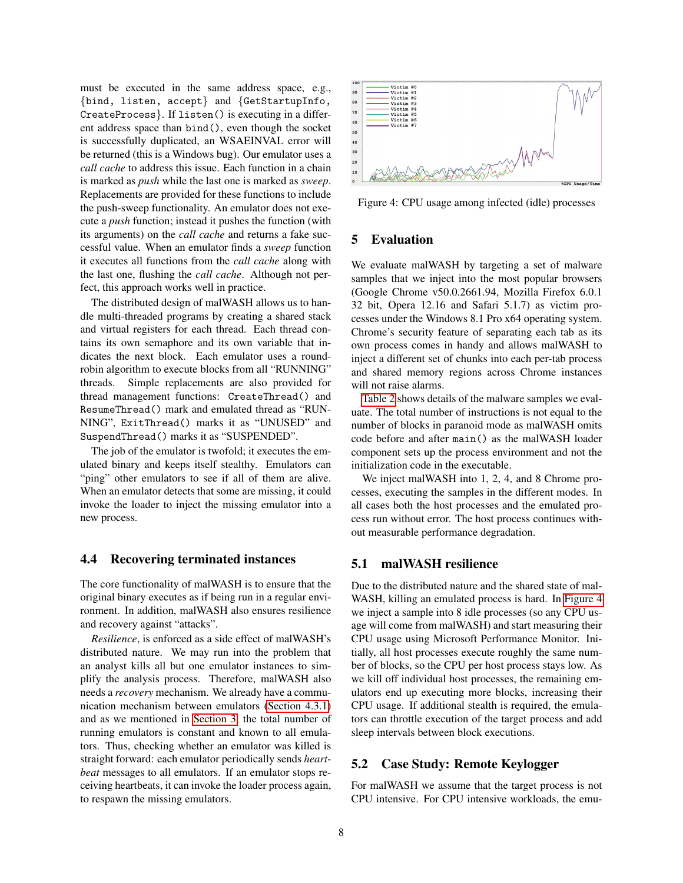must be executed in the same address space, e.g., {bind, listen, accept} and {GetStartupInfo, CreateProcess}. If listen() is executing in a different address space than bind(), even though the socket is successfully duplicated, an WSAEINVAL error will be returned (this is a Windows bug). Our emulator uses a *call cache* to address this issue. Each function in a chain is marked as *push* while the last one is marked as *sweep*. Replacements are provided for these functions to include the push-sweep functionality. An emulator does not execute a *push* function; instead it pushes the function (with its arguments) on the *call cache* and returns a fake successful value. When an emulator finds a *sweep* function it executes all functions from the *call cache* along with the last one, flushing the *call cache*. Although not perfect, this approach works well in practice.

The distributed design of malWASH allows us to handle multi-threaded programs by creating a shared stack and virtual registers for each thread. Each thread contains its own semaphore and its own variable that indicates the next block. Each emulator uses a roundrobin algorithm to execute blocks from all "RUNNING" threads. Simple replacements are also provided for thread management functions: CreateThread() and ResumeThread() mark and emulated thread as "RUN-NING", ExitThread() marks it as "UNUSED" and SuspendThread() marks it as "SUSPENDED".

The job of the emulator is twofold; it executes the emulated binary and keeps itself stealthy. Emulators can "ping" other emulators to see if all of them are alive. When an emulator detects that some are missing, it could invoke the loader to inject the missing emulator into a new process.

## 4.4 Recovering terminated instances

The core functionality of malWASH is to ensure that the original binary executes as if being run in a regular environment. In addition, malWASH also ensures resilience and recovery against "attacks".

*Resilience*, is enforced as a side effect of malWASH's distributed nature. We may run into the problem that an analyst kills all but one emulator instances to simplify the analysis process. Therefore, malWASH also needs a *recovery* mechanism. We already have a communication mechanism between emulators [\(Section 4.3.1\)](#page-6-2) and as we mentioned in [Section 3,](#page-2-1) the total number of running emulators is constant and known to all emulators. Thus, checking whether an emulator was killed is straight forward: each emulator periodically sends *heartbeat* messages to all emulators. If an emulator stops receiving heartbeats, it can invoke the loader process again, to respawn the missing emulators.

<span id="page-7-0"></span>

Figure 4: CPU usage among infected (idle) processes

## 5 Evaluation

We evaluate malWASH by targeting a set of malware samples that we inject into the most popular browsers (Google Chrome v50.0.2661.94, Mozilla Firefox 6.0.1 32 bit, Opera 12.16 and Safari 5.1.7) as victim processes under the Windows 8.1 Pro x64 operating system. Chrome's security feature of separating each tab as its own process comes in handy and allows malWASH to inject a different set of chunks into each per-tab process and shared memory regions across Chrome instances will not raise alarms.

[Table 2](#page-8-1) shows details of the malware samples we evaluate. The total number of instructions is not equal to the number of blocks in paranoid mode as malWASH omits code before and after main() as the malWASH loader component sets up the process environment and not the initialization code in the executable.

We inject malWASH into 1, 2, 4, and 8 Chrome processes, executing the samples in the different modes. In all cases both the host processes and the emulated process run without error. The host process continues without measurable performance degradation.

### 5.1 malWASH resilience

Due to the distributed nature and the shared state of mal-WASH, killing an emulated process is hard. In [Figure 4](#page-7-0) we inject a sample into 8 idle processes (so any CPU usage will come from malWASH) and start measuring their CPU usage using Microsoft Performance Monitor. Initially, all host processes execute roughly the same number of blocks, so the CPU per host process stays low. As we kill off individual host processes, the remaining emulators end up executing more blocks, increasing their CPU usage. If additional stealth is required, the emulators can throttle execution of the target process and add sleep intervals between block executions.

## 5.2 Case Study: Remote Keylogger

For malWASH we assume that the target process is not CPU intensive. For CPU intensive workloads, the emu-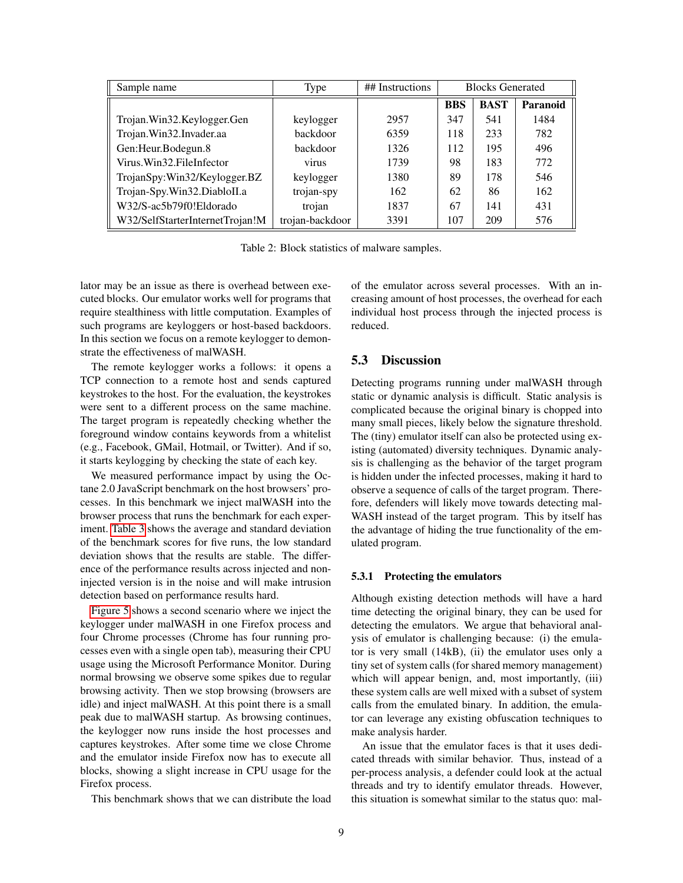<span id="page-8-1"></span>

| Sample name                     | Type            | ## Instructions | <b>Blocks Generated</b> |             |          |
|---------------------------------|-----------------|-----------------|-------------------------|-------------|----------|
|                                 |                 |                 | <b>BBS</b>              | <b>BAST</b> | Paranoid |
| Trojan.Win32.Keylogger.Gen      | keylogger       | 2957            | 347                     | 541         | 1484     |
| Trojan. Win32. Invader.aa       | backdoor        | 6359            | 118                     | 233         | 782      |
| Gen:Heur.Bodegun.8              | backdoor        | 1326            | 112                     | 195         | 496      |
| Virus. Win 32. File Infector    | <b>V1rus</b>    | 1739            | 98                      | 183         | 772      |
| TrojanSpy:Win32/Keylogger.BZ    | keylogger       | 1380            | 89                      | 178         | 546      |
| Trojan-Spy.Win32.DiabloII.a     | trojan-spy      | 162             | 62                      | 86          | 162      |
| W32/S-ac5b79f0!Eldorado         | trojan          | 1837            | 67                      | 141         | 431      |
| W32/SelfStarterInternetTrojan!M | trojan-backdoor | 3391            | 107                     | 209         | 576      |

Table 2: Block statistics of malware samples.

lator may be an issue as there is overhead between executed blocks. Our emulator works well for programs that require stealthiness with little computation. Examples of such programs are keyloggers or host-based backdoors. In this section we focus on a remote keylogger to demonstrate the effectiveness of malWASH.

The remote keylogger works a follows: it opens a TCP connection to a remote host and sends captured keystrokes to the host. For the evaluation, the keystrokes were sent to a different process on the same machine. The target program is repeatedly checking whether the foreground window contains keywords from a whitelist (e.g., Facebook, GMail, Hotmail, or Twitter). And if so, it starts keylogging by checking the state of each key.

We measured performance impact by using the Octane 2.0 JavaScript benchmark on the host browsers' processes. In this benchmark we inject malWASH into the browser process that runs the benchmark for each experiment. [Table 3](#page-9-0) shows the average and standard deviation of the benchmark scores for five runs, the low standard deviation shows that the results are stable. The difference of the performance results across injected and noninjected version is in the noise and will make intrusion detection based on performance results hard.

[Figure 5](#page-9-1) shows a second scenario where we inject the keylogger under malWASH in one Firefox process and four Chrome processes (Chrome has four running processes even with a single open tab), measuring their CPU usage using the Microsoft Performance Monitor. During normal browsing we observe some spikes due to regular browsing activity. Then we stop browsing (browsers are idle) and inject malWASH. At this point there is a small peak due to malWASH startup. As browsing continues, the keylogger now runs inside the host processes and captures keystrokes. After some time we close Chrome and the emulator inside Firefox now has to execute all blocks, showing a slight increase in CPU usage for the Firefox process.

This benchmark shows that we can distribute the load

of the emulator across several processes. With an increasing amount of host processes, the overhead for each individual host process through the injected process is reduced.

## <span id="page-8-0"></span>5.3 Discussion

Detecting programs running under malWASH through static or dynamic analysis is difficult. Static analysis is complicated because the original binary is chopped into many small pieces, likely below the signature threshold. The (tiny) emulator itself can also be protected using existing (automated) diversity techniques. Dynamic analysis is challenging as the behavior of the target program is hidden under the infected processes, making it hard to observe a sequence of calls of the target program. Therefore, defenders will likely move towards detecting mal-WASH instead of the target program. This by itself has the advantage of hiding the true functionality of the emulated program.

### 5.3.1 Protecting the emulators

Although existing detection methods will have a hard time detecting the original binary, they can be used for detecting the emulators. We argue that behavioral analysis of emulator is challenging because: (i) the emulator is very small (14kB), (ii) the emulator uses only a tiny set of system calls (for shared memory management) which will appear benign, and, most importantly, (iii) these system calls are well mixed with a subset of system calls from the emulated binary. In addition, the emulator can leverage any existing obfuscation techniques to make analysis harder.

An issue that the emulator faces is that it uses dedicated threads with similar behavior. Thus, instead of a per-process analysis, a defender could look at the actual threads and try to identify emulator threads. However, this situation is somewhat similar to the status quo: mal-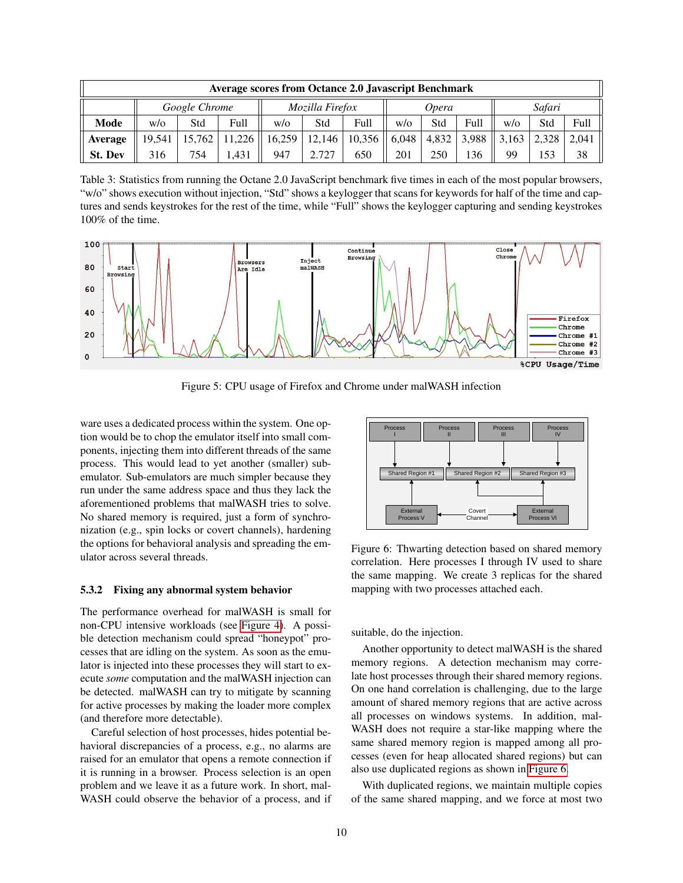<span id="page-9-0"></span>

| <b>Average scores from Octance 2.0 Javascript Benchmark</b> |               |        |                 |        |        |        |        |       |       |            |       |       |
|-------------------------------------------------------------|---------------|--------|-----------------|--------|--------|--------|--------|-------|-------|------------|-------|-------|
|                                                             | Google Chrome |        | Mozilla Firefox | Opera  |        |        | Safari |       |       |            |       |       |
| Mode                                                        | W/O           | Std    | Full            | W/0    | Std    | Full   | W/O    | Std   | Full  | $w/\alpha$ | Std   | Full  |
| Average                                                     | 19.541        | 15.762 | 11.226          | 16,259 | 12.146 | 10.356 | 6.048  | 4.832 | 3.988 | 3,163      | 2.328 | 2.041 |
| <b>St. Dev</b>                                              | 316           | 754    | .431            | 947    | 2.727  | 650    | 201    | 250   | 136   | 99         | 153   | 38    |

Table 3: Statistics from running the Octane 2.0 JavaScript benchmark five times in each of the most popular browsers, "w/o" shows execution without injection, "Std" shows a keylogger that scans for keywords for half of the time and captures and sends keystrokes for the rest of the time, while "Full" shows the keylogger capturing and sending keystrokes 100% of the time.

<span id="page-9-1"></span>

Figure 5: CPU usage of Firefox and Chrome under malWASH infection

ware uses a dedicated process within the system. One option would be to chop the emulator itself into small components, injecting them into different threads of the same process. This would lead to yet another (smaller) subemulator. Sub-emulators are much simpler because they run under the same address space and thus they lack the aforementioned problems that malWASH tries to solve. No shared memory is required, just a form of synchronization (e.g., spin locks or covert channels), hardening the options for behavioral analysis and spreading the emulator across several threads.

### 5.3.2 Fixing any abnormal system behavior

The performance overhead for malWASH is small for non-CPU intensive workloads (see [Figure 4\)](#page-7-0). A possible detection mechanism could spread "honeypot" processes that are idling on the system. As soon as the emulator is injected into these processes they will start to execute *some* computation and the malWASH injection can be detected. malWASH can try to mitigate by scanning for active processes by making the loader more complex (and therefore more detectable).

Careful selection of host processes, hides potential behavioral discrepancies of a process, e.g., no alarms are raised for an emulator that opens a remote connection if it is running in a browser. Process selection is an open problem and we leave it as a future work. In short, mal-WASH could observe the behavior of a process, and if

<span id="page-9-2"></span>

Figure 6: Thwarting detection based on shared memory correlation. Here processes I through IV used to share the same mapping. We create 3 replicas for the shared mapping with two processes attached each.

suitable, do the injection.

Another opportunity to detect malWASH is the shared memory regions. A detection mechanism may correlate host processes through their shared memory regions. On one hand correlation is challenging, due to the large amount of shared memory regions that are active across all processes on windows systems. In addition, mal-WASH does not require a star-like mapping where the same shared memory region is mapped among all processes (even for heap allocated shared regions) but can also use duplicated regions as shown in [Figure 6.](#page-9-2)

With duplicated regions, we maintain multiple copies of the same shared mapping, and we force at most two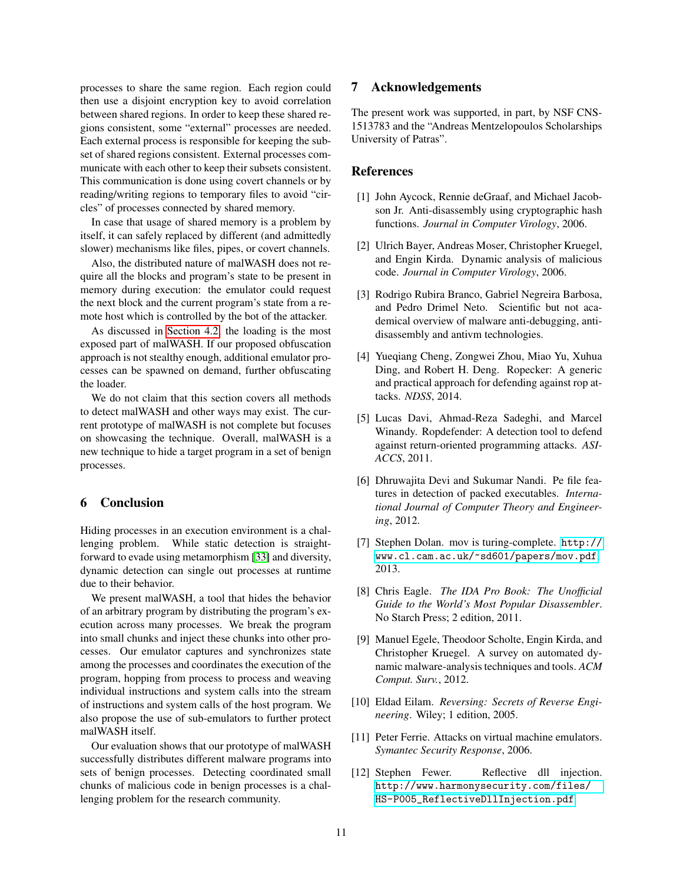processes to share the same region. Each region could then use a disjoint encryption key to avoid correlation between shared regions. In order to keep these shared regions consistent, some "external" processes are needed. Each external process is responsible for keeping the subset of shared regions consistent. External processes communicate with each other to keep their subsets consistent. This communication is done using covert channels or by reading/writing regions to temporary files to avoid "circles" of processes connected by shared memory.

In case that usage of shared memory is a problem by itself, it can safely replaced by different (and admittedly slower) mechanisms like files, pipes, or covert channels.

Also, the distributed nature of malWASH does not require all the blocks and program's state to be present in memory during execution: the emulator could request the next block and the current program's state from a remote host which is controlled by the bot of the attacker.

As discussed in [Section 4.2,](#page-5-2) the loading is the most exposed part of malWASH. If our proposed obfuscation approach is not stealthy enough, additional emulator processes can be spawned on demand, further obfuscating the loader.

We do not claim that this section covers all methods to detect malWASH and other ways may exist. The current prototype of malWASH is not complete but focuses on showcasing the technique. Overall, malWASH is a new technique to hide a target program in a set of benign processes.

## 6 Conclusion

Hiding processes in an execution environment is a challenging problem. While static detection is straightforward to evade using metamorphism [\[33\]](#page-11-0) and diversity, dynamic detection can single out processes at runtime due to their behavior.

We present malWASH, a tool that hides the behavior of an arbitrary program by distributing the program's execution across many processes. We break the program into small chunks and inject these chunks into other processes. Our emulator captures and synchronizes state among the processes and coordinates the execution of the program, hopping from process to process and weaving individual instructions and system calls into the stream of instructions and system calls of the host program. We also propose the use of sub-emulators to further protect malWASH itself.

Our evaluation shows that our prototype of malWASH successfully distributes different malware programs into sets of benign processes. Detecting coordinated small chunks of malicious code in benign processes is a challenging problem for the research community.

## 7 Acknowledgements

The present work was supported, in part, by NSF CNS-1513783 and the "Andreas Mentzelopoulos Scholarships University of Patras".

# References

- <span id="page-10-3"></span>[1] John Aycock, Rennie deGraaf, and Michael Jacobson Jr. Anti-disassembly using cryptographic hash functions. *Journal in Computer Virology*, 2006.
- <span id="page-10-0"></span>[2] Ulrich Bayer, Andreas Moser, Christopher Kruegel, and Engin Kirda. Dynamic analysis of malicious code. *Journal in Computer Virology*, 2006.
- <span id="page-10-5"></span>[3] Rodrigo Rubira Branco, Gabriel Negreira Barbosa, and Pedro Drimel Neto. Scientific but not academical overview of malware anti-debugging, antidisassembly and antivm technologies.
- <span id="page-10-8"></span>[4] Yueqiang Cheng, Zongwei Zhou, Miao Yu, Xuhua Ding, and Robert H. Deng. Ropecker: A generic and practical approach for defending against rop attacks. *NDSS*, 2014.
- <span id="page-10-7"></span>[5] Lucas Davi, Ahmad-Reza Sadeghi, and Marcel Winandy. Ropdefender: A detection tool to defend against return-oriented programming attacks. *ASI-ACCS*, 2011.
- <span id="page-10-4"></span>[6] Dhruwajita Devi and Sukumar Nandi. Pe file features in detection of packed executables. *International Journal of Computer Theory and Engineering*, 2012.
- <span id="page-10-9"></span>[7] Stephen Dolan. mov is turing-complete. [http://](http://www.cl.cam.ac.uk/~sd601/papers/mov.pdf) [www.cl.cam.ac.uk/~sd601/papers/mov.pdf](http://www.cl.cam.ac.uk/~sd601/papers/mov.pdf), 2013.
- <span id="page-10-2"></span>[8] Chris Eagle. *The IDA Pro Book: The Unofficial Guide to the World's Most Popular Disassembler*. No Starch Press; 2 edition, 2011.
- <span id="page-10-11"></span>[9] Manuel Egele, Theodoor Scholte, Engin Kirda, and Christopher Kruegel. A survey on automated dynamic malware-analysis techniques and tools. *ACM Comput. Surv.*, 2012.
- <span id="page-10-1"></span>[10] Eldad Eilam. *Reversing: Secrets of Reverse Engineering*. Wiley; 1 edition, 2005.
- <span id="page-10-6"></span>[11] Peter Ferrie. Attacks on virtual machine emulators. *Symantec Security Response*, 2006.
- <span id="page-10-10"></span>[12] Stephen Fewer. Reflective dll injection. [http://www.harmonysecurity.com/files/](http://www.harmonysecurity.com/files/HS-P005_ReflectiveDllInjection.pdf) [HS-P005\\_ReflectiveDllInjection.pdf](http://www.harmonysecurity.com/files/HS-P005_ReflectiveDllInjection.pdf).